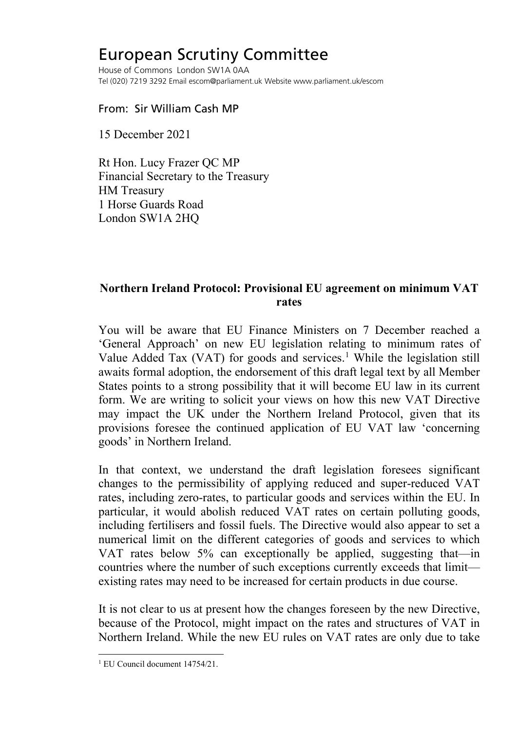## European Scrutiny Committee

House of Commons London SW1A 0AA Tel (020) 7219 3292 Email escom@parliament.uk Website www.parliament.uk/escom

## From: Sir William Cash MP

15 December 2021

Rt Hon. Lucy Frazer QC MP Financial Secretary to the Treasury HM Treasury 1 Horse Guards Road London SW1A 2HQ

## **Northern Ireland Protocol: Provisional EU agreement on minimum VAT rates**

You will be aware that EU Finance Ministers on 7 December reached a 'General Approach' on new EU legislation relating to minimum rates of Value Added Tax (VAT) for goods and services.<sup>[1](#page-0-0)</sup> While the legislation still awaits formal adoption, the endorsement of this draft legal text by all Member States points to a strong possibility that it will become EU law in its current form. We are writing to solicit your views on how this new VAT Directive may impact the UK under the Northern Ireland Protocol, given that its provisions foresee the continued application of EU VAT law 'concerning goods' in Northern Ireland.

In that context, we understand the draft legislation foresees significant changes to the permissibility of applying reduced and super-reduced VAT rates, including zero-rates, to particular goods and services within the EU. In particular, it would abolish reduced VAT rates on certain polluting goods, including fertilisers and fossil fuels. The Directive would also appear to set a numerical limit on the different categories of goods and services to which VAT rates below 5% can exceptionally be applied, suggesting that—in countries where the number of such exceptions currently exceeds that limit existing rates may need to be increased for certain products in due course.

It is not clear to us at present how the changes foreseen by the new Directive, because of the Protocol, might impact on the rates and structures of VAT in Northern Ireland. While the new EU rules on VAT rates are only due to take

<span id="page-0-0"></span><sup>1</sup> EU Council document 14754/21.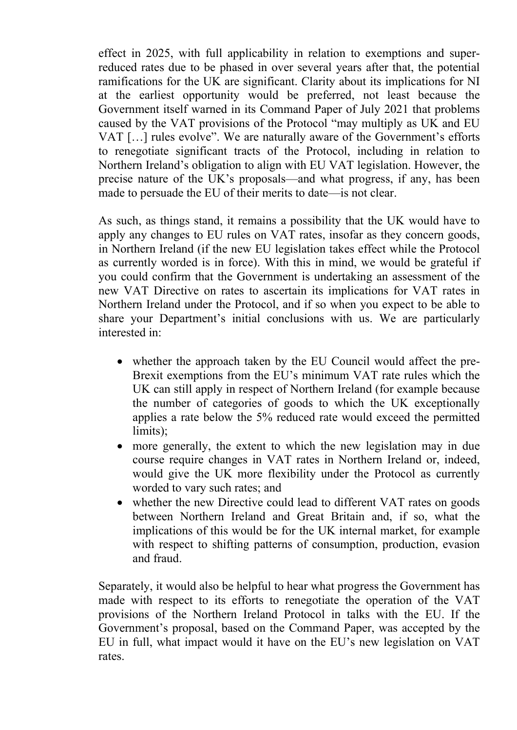effect in 2025, with full applicability in relation to exemptions and superreduced rates due to be phased in over several years after that, the potential ramifications for the UK are significant. Clarity about its implications for NI at the earliest opportunity would be preferred, not least because the Government itself warned in its Command Paper of July 2021 that problems caused by the VAT provisions of the Protocol "may multiply as UK and EU VAT […] rules evolve". We are naturally aware of the Government's efforts to renegotiate significant tracts of the Protocol, including in relation to Northern Ireland's obligation to align with EU VAT legislation. However, the precise nature of the UK's proposals—and what progress, if any, has been made to persuade the EU of their merits to date—is not clear.

As such, as things stand, it remains a possibility that the UK would have to apply any changes to EU rules on VAT rates, insofar as they concern goods, in Northern Ireland (if the new EU legislation takes effect while the Protocol as currently worded is in force). With this in mind, we would be grateful if you could confirm that the Government is undertaking an assessment of the new VAT Directive on rates to ascertain its implications for VAT rates in Northern Ireland under the Protocol, and if so when you expect to be able to share your Department's initial conclusions with us. We are particularly interested in:

- whether the approach taken by the EU Council would affect the pre-Brexit exemptions from the EU's minimum VAT rate rules which the UK can still apply in respect of Northern Ireland (for example because the number of categories of goods to which the UK exceptionally applies a rate below the 5% reduced rate would exceed the permitted limits);
- more generally, the extent to which the new legislation may in due course require changes in VAT rates in Northern Ireland or, indeed, would give the UK more flexibility under the Protocol as currently worded to vary such rates; and
- whether the new Directive could lead to different VAT rates on goods between Northern Ireland and Great Britain and, if so, what the implications of this would be for the UK internal market, for example with respect to shifting patterns of consumption, production, evasion and fraud.

Separately, it would also be helpful to hear what progress the Government has made with respect to its efforts to renegotiate the operation of the VAT provisions of the Northern Ireland Protocol in talks with the EU. If the Government's proposal, based on the Command Paper, was accepted by the EU in full, what impact would it have on the EU's new legislation on VAT rates.